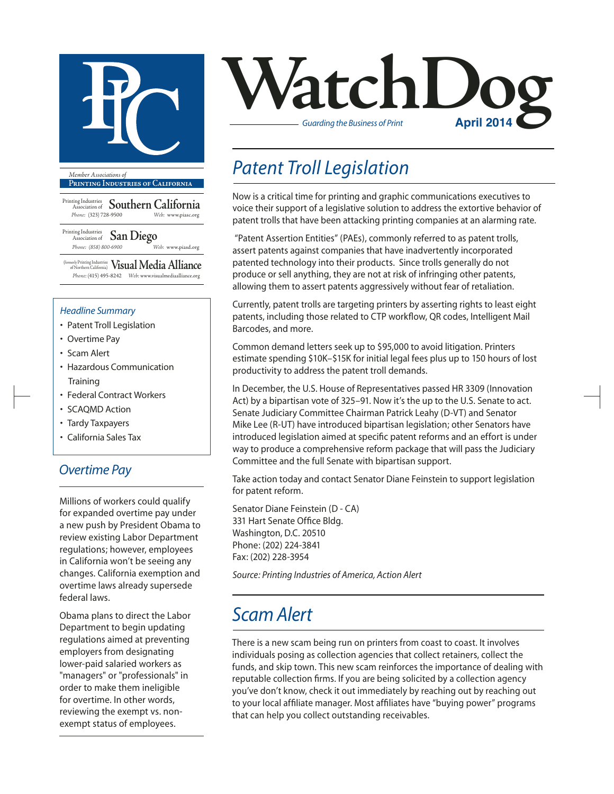

**Printing Industries of California**

Printing Industries Association of **Southern California** *Phone:* (323) 728-9500 *Web:* www.piasc.org

Printing Industries Association of **San Diego** *Phone: (858) 800-6900 Web:* www.piasd.org

(formerly Printing Industries of Northern California) **Visual Media Alliance** *Phone:* (415) 495-8242 *Web:* www.visualmediaalliance.org

#### *Headline Summary*

- Patent Troll Legislation
- Overtime Pay
- Scam Alert
- Hazardous Communication **Training**
- Federal Contract Workers
- SCAQMD Action
- Tardy Taxpayers
- California Sales Tax

#### *Overtime Pay*

Millions of workers could qualify for expanded overtime pay under a new push by President Obama to review existing Labor Department regulations; however, employees in California won't be seeing any changes. California exemption and overtime laws already supersede federal laws.

Obama plans to direct the Labor Department to begin updating regulations aimed at preventing employers from designating lower-paid salaried workers as "managers" or "professionals" in order to make them ineligible for overtime. In other words, reviewing the exempt vs. nonexempt status of employees.



### *Patent Troll Legislation*

Now is a critical time for printing and graphic communications executives to voice their support of a legislative solution to address the extortive behavior of patent trolls that have been attacking printing companies at an alarming rate.

"Patent Assertion Entities" (PAEs), commonly referred to as patent trolls, assert patents against companies that have inadvertently incorporated patented technology into their products. Since trolls generally do not produce or sell anything, they are not at risk of infringing other patents, allowing them to assert patents aggressively without fear of retaliation.

Currently, patent trolls are targeting printers by asserting rights to least eight patents, including those related to CTP workflow, QR codes, Intelligent Mail Barcodes, and more.

Common demand letters seek up to \$95,000 to avoid litigation. Printers estimate spending \$10K–\$15K for initial legal fees plus up to 150 hours of lost productivity to address the patent troll demands.

In December, the U.S. House of Representatives passed HR 3309 (Innovation Act) by a bipartisan vote of 325–91. Now it's the up to the U.S. Senate to act. Senate Judiciary Committee Chairman Patrick Leahy (D-VT) and Senator Mike Lee (R-UT) have introduced bipartisan legislation; other Senators have introduced legislation aimed at specific patent reforms and an effort is under way to produce a comprehensive reform package that will pass the Judiciary Committee and the full Senate with bipartisan support.

Take action today and contact Senator Diane Feinstein to support legislation for patent reform.

Senator Diane Feinstein (D - CA) 331 Hart Senate Office Bldg. Washington, D.C. 20510 Phone: (202) 224-3841 Fax: (202) 228-3954

*Source: Printing Industries of America, Action Alert*

### *Scam Alert*

There is a new scam being run on printers from coast to coast. It involves individuals posing as collection agencies that collect retainers, collect the funds, and skip town. This new scam reinforces the importance of dealing with reputable collection firms. If you are being solicited by a collection agency you've don't know, check it out immediately by reaching out by reaching out to your local affiliate manager. Most affiliates have "buying power" programs that can help you collect outstanding receivables.